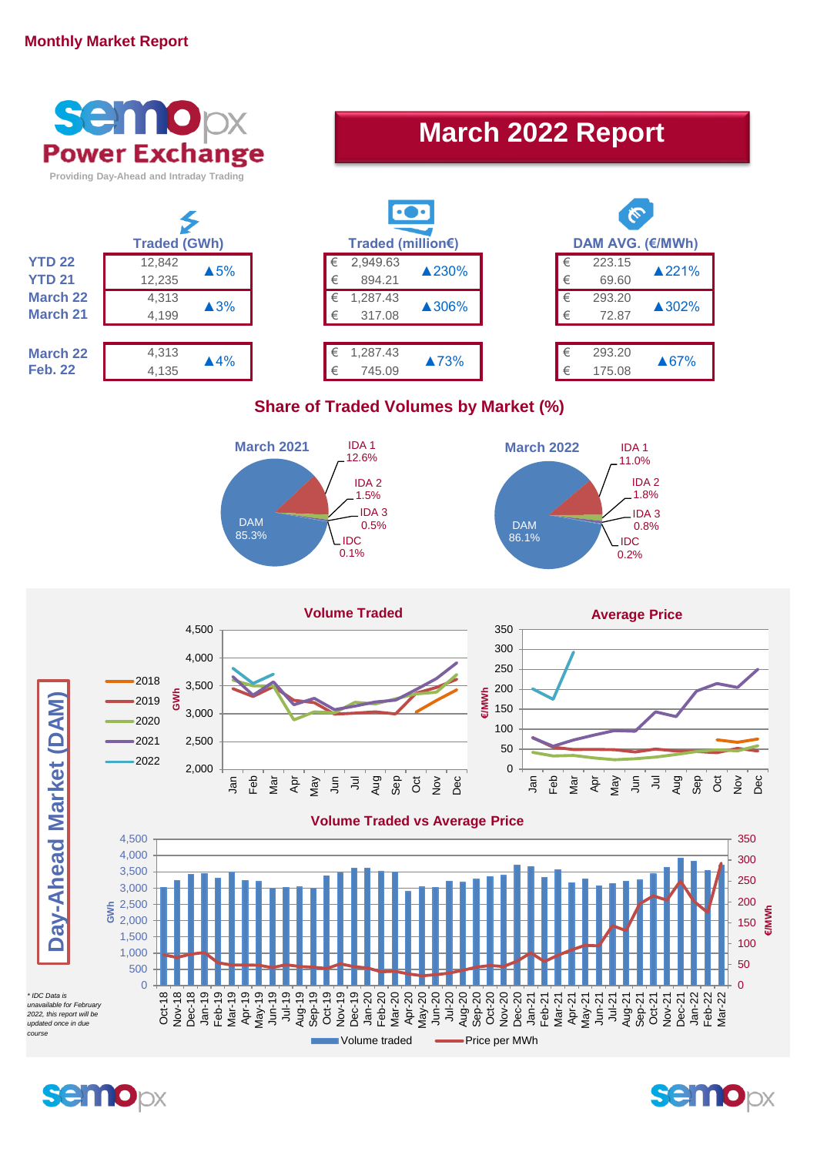## **Monthly Market Report**



**semo**px